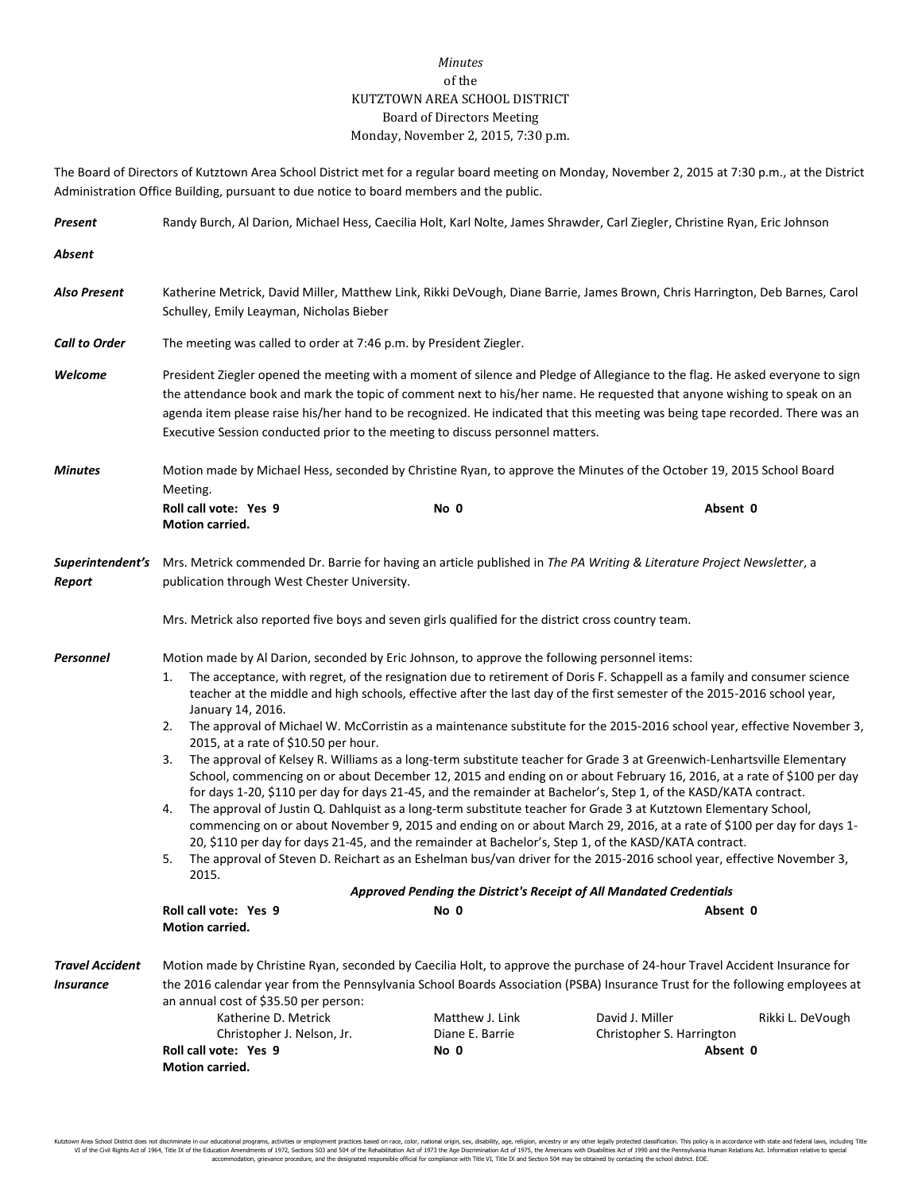## *Minutes* of the KUTZTOWN AREA SCHOOL DISTRICT Board of Directors Meeting Monday, November 2, 2015, 7:30 p.m.

The Board of Directors of Kutztown Area School District met for a regular board meeting on Monday, November 2, 2015 at 7:30 p.m., at the District Administration Office Building, pursuant to due notice to board members and the public.

| Present                             | Randy Burch, Al Darion, Michael Hess, Caecilia Holt, Karl Nolte, James Shrawder, Carl Ziegler, Christine Ryan, Eric Johnson                                                                                                                                                                                                                                                                                                                                                                                                                                                                                                                                                                                                                                                                                                                                                                                                                                                                                                                                                                                                                                                                                                                                                                                                                                                                                                                                                                                                                                                              |      |          |  |  |
|-------------------------------------|------------------------------------------------------------------------------------------------------------------------------------------------------------------------------------------------------------------------------------------------------------------------------------------------------------------------------------------------------------------------------------------------------------------------------------------------------------------------------------------------------------------------------------------------------------------------------------------------------------------------------------------------------------------------------------------------------------------------------------------------------------------------------------------------------------------------------------------------------------------------------------------------------------------------------------------------------------------------------------------------------------------------------------------------------------------------------------------------------------------------------------------------------------------------------------------------------------------------------------------------------------------------------------------------------------------------------------------------------------------------------------------------------------------------------------------------------------------------------------------------------------------------------------------------------------------------------------------|------|----------|--|--|
| Absent                              |                                                                                                                                                                                                                                                                                                                                                                                                                                                                                                                                                                                                                                                                                                                                                                                                                                                                                                                                                                                                                                                                                                                                                                                                                                                                                                                                                                                                                                                                                                                                                                                          |      |          |  |  |
| <b>Also Present</b>                 | Katherine Metrick, David Miller, Matthew Link, Rikki DeVough, Diane Barrie, James Brown, Chris Harrington, Deb Barnes, Carol<br>Schulley, Emily Leayman, Nicholas Bieber                                                                                                                                                                                                                                                                                                                                                                                                                                                                                                                                                                                                                                                                                                                                                                                                                                                                                                                                                                                                                                                                                                                                                                                                                                                                                                                                                                                                                 |      |          |  |  |
| <b>Call to Order</b>                | The meeting was called to order at 7:46 p.m. by President Ziegler.                                                                                                                                                                                                                                                                                                                                                                                                                                                                                                                                                                                                                                                                                                                                                                                                                                                                                                                                                                                                                                                                                                                                                                                                                                                                                                                                                                                                                                                                                                                       |      |          |  |  |
| Welcome                             | President Ziegler opened the meeting with a moment of silence and Pledge of Allegiance to the flag. He asked everyone to sign<br>the attendance book and mark the topic of comment next to his/her name. He requested that anyone wishing to speak on an<br>agenda item please raise his/her hand to be recognized. He indicated that this meeting was being tape recorded. There was an<br>Executive Session conducted prior to the meeting to discuss personnel matters.                                                                                                                                                                                                                                                                                                                                                                                                                                                                                                                                                                                                                                                                                                                                                                                                                                                                                                                                                                                                                                                                                                               |      |          |  |  |
| <b>Minutes</b>                      | Motion made by Michael Hess, seconded by Christine Ryan, to approve the Minutes of the October 19, 2015 School Board<br>Meeting.                                                                                                                                                                                                                                                                                                                                                                                                                                                                                                                                                                                                                                                                                                                                                                                                                                                                                                                                                                                                                                                                                                                                                                                                                                                                                                                                                                                                                                                         |      |          |  |  |
|                                     | Roll call vote: Yes 9<br>Motion carried.                                                                                                                                                                                                                                                                                                                                                                                                                                                                                                                                                                                                                                                                                                                                                                                                                                                                                                                                                                                                                                                                                                                                                                                                                                                                                                                                                                                                                                                                                                                                                 | No 0 | Absent 0 |  |  |
| Superintendent's<br>Report          | Mrs. Metrick commended Dr. Barrie for having an article published in The PA Writing & Literature Project Newsletter, a<br>publication through West Chester University.                                                                                                                                                                                                                                                                                                                                                                                                                                                                                                                                                                                                                                                                                                                                                                                                                                                                                                                                                                                                                                                                                                                                                                                                                                                                                                                                                                                                                   |      |          |  |  |
|                                     | Mrs. Metrick also reported five boys and seven girls qualified for the district cross country team.                                                                                                                                                                                                                                                                                                                                                                                                                                                                                                                                                                                                                                                                                                                                                                                                                                                                                                                                                                                                                                                                                                                                                                                                                                                                                                                                                                                                                                                                                      |      |          |  |  |
| Personnel                           | Motion made by Al Darion, seconded by Eric Johnson, to approve the following personnel items:<br>The acceptance, with regret, of the resignation due to retirement of Doris F. Schappell as a family and consumer science<br>1.<br>teacher at the middle and high schools, effective after the last day of the first semester of the 2015-2016 school year,<br>January 14, 2016.<br>The approval of Michael W. McCorristin as a maintenance substitute for the 2015-2016 school year, effective November 3,<br>2.<br>2015, at a rate of \$10.50 per hour.<br>The approval of Kelsey R. Williams as a long-term substitute teacher for Grade 3 at Greenwich-Lenhartsville Elementary<br>3.<br>School, commencing on or about December 12, 2015 and ending on or about February 16, 2016, at a rate of \$100 per day<br>for days 1-20, \$110 per day for days 21-45, and the remainder at Bachelor's, Step 1, of the KASD/KATA contract.<br>The approval of Justin Q. Dahlquist as a long-term substitute teacher for Grade 3 at Kutztown Elementary School,<br>4.<br>commencing on or about November 9, 2015 and ending on or about March 29, 2016, at a rate of \$100 per day for days 1-<br>20, \$110 per day for days 21-45, and the remainder at Bachelor's, Step 1, of the KASD/KATA contract.<br>The approval of Steven D. Reichart as an Eshelman bus/van driver for the 2015-2016 school year, effective November 3,<br>5.<br>2015.<br>Approved Pending the District's Receipt of All Mandated Credentials<br>Roll call vote: Yes 9<br>No 0<br>Absent 0<br><b>Motion carried.</b> |      |          |  |  |
| <b>Travel Accident</b><br>Insurance | Motion made by Christine Ryan, seconded by Caecilia Holt, to approve the purchase of 24-hour Travel Accident Insurance for<br>the 2016 calendar year from the Pennsylvania School Boards Association (PSBA) Insurance Trust for the following employees at<br>an annual cost of \$35.50 per person:<br>David J. Miller<br>Katherine D. Metrick<br>Matthew J. Link<br>Rikki L. DeVough<br>Christopher J. Nelson, Jr.<br>Diane E. Barrie<br>Christopher S. Harrington<br>Roll call vote: Yes 9<br>Absent 0<br>No 0<br><b>Motion carried.</b>                                                                                                                                                                                                                                                                                                                                                                                                                                                                                                                                                                                                                                                                                                                                                                                                                                                                                                                                                                                                                                               |      |          |  |  |
|                                     |                                                                                                                                                                                                                                                                                                                                                                                                                                                                                                                                                                                                                                                                                                                                                                                                                                                                                                                                                                                                                                                                                                                                                                                                                                                                                                                                                                                                                                                                                                                                                                                          |      |          |  |  |